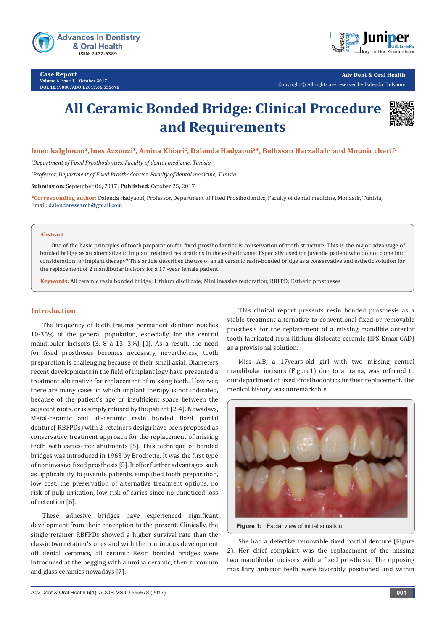

**Case Report Volume 6 Issue 1** - **October 2017 DOI: [10.19080/ADOH.2017.06.555678](http://dx.doi.org/10.19080/ADOH.2017.06.555678)**



**Adv Dent & Oral Health**  Copyright © All rights are reserved by Dalenda Hadyaoui

# **All Ceramic Bonded Bridge: Clinical Procedure and Requirements**



Imen kalghoum<sup>2</sup>, Ines Azzouzi<sup>1</sup>, Amina Khiari<sup>2</sup>, Dalenda Hadyaoui<sup>2\*</sup>, Belhssan Harzallah<sup>2</sup> and Mounir cherif<sup>2</sup>

*1 Department of Fixed Prosthodontics, Faculty of dental medicine, Tunisia*

*2 Professor, Department of Fixed Prosthodontics, Faculty of dental medicine, Tunisia*

**Submission:** September 06, 2017; **Published:** October 25, 2017

**\*Corresponding author:** Dalenda Hadyaoui, Professor, Department of Fixed Prosthodontics, Faculty of dental medicine, Monastir, Tunisia, Email: dalendaresearch@gmail.com

#### **Abstract**

One of the basic principles of tooth preparation for fixed prosthodontics is conservation of tooth structure. This is the major advantage of bonded bridge as an alternative to implant retained restorations in the esthetic zone. Especially used for juvenile patient who do not come into consideration for implant therapy? This article describes the use of an all ceramic resin-bonded bridge as a conservative and esthetic solution for the replacement of 2 mandibular incisors for a 17 -year female patient.

**Keywords:** All ceramic resin bonded bridge; Lithium discilicate; Mini invasive restoration; RBFPD; Esthetic prostheses

## **Introduction**

The frequency of teeth trauma permanent denture reaches 10-35% of the general population, especially, for the central mandibular incisors (3, 8 à 13, 3%) [1]. As a result, the need for fixed prostheses becomes necessary, nevertheless, tooth preparation is challenging because of their small axial. Diameters recent developments in the field of implant logy have presented a treatment alternative for replacement of missing teeth. However, there are many cases in which implant therapy is not indicated, because of the patient's age or insufficient space between the adjacent roots, or is simply refused by the patient [2-4]. Nowadays, Metal-ceramic and all-ceramic resin bonded fixed partial denture( RBFPDs) with 2-retainers design have been proposed as conservative treatment approach for the replacement of missing teeth with caries-free abutments [5]. This technique of bonded bridges was introduced in 1963 by Brochette. It was the first type of noninvasive fixed prosthesis [5]. It offer further advantages such as applicability to juvenile patients, simplified tooth preparation, low cost, the preservation of alternative treatment options, no risk of pulp irritation, low risk of caries since no unnoticed loss of retention [6].

These adhesive bridges have experienced significant development from their conception to the present. Clinically, the single retainer RBFPDs showed a higher survival rate than the classic two retainer's ones and with the continuous development off dental ceramics, all ceramic Resin bonded bridges were introduced at the begging with alumina ceramic, then zirconium and glass ceramics nowadays [7].

This clinical report presents resin bonded prosthesis as a viable treatment alternative to conventional fixed or removable prosthesis for the replacement of a missing mandible anterior tooth fabricated from lithium dislocate ceramic (IPS Emax CAD) as a provisional solution.

Miss A.B, a 17years-old girl with two missing central mandibular incisors (Figure1) due to a trama, was referred to our department of fixed Prosthodontics fir their replacement. Her medical history was unremarkable.



**Figure 1:** Facial view of initial situation.

She had a defective removable fixed partial denture (Figure 2). Her chief complaint was the replacement of the missing two mandibular incisors with a fixed prosthesis. The opposing maxillary anterior teeth were favorably positioned and within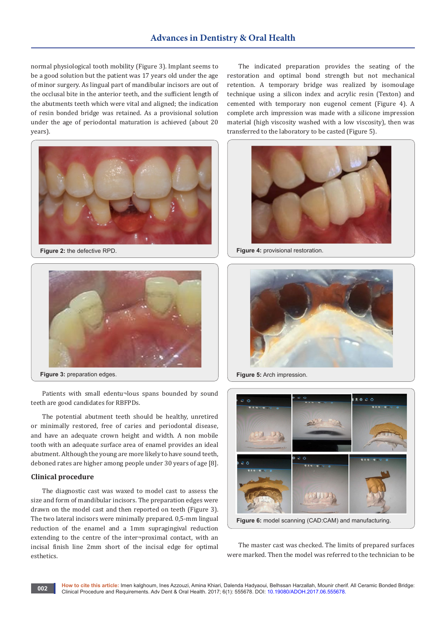normal physiological tooth mobility (Figure 3). Implant seems to be a good solution but the patient was 17 years old under the age of minor surgery. As lingual part of mandibular incisors are out of the occlusal bite in the anterior teeth, and the sufficient length of the abutments teeth which were vital and aligned; the indication of resin bonded bridge was retained. As a provisional solution under the age of periodontal maturation is achieved (about 20 years).



**Figure 2:** the defective RPD.



Patients with small edentu¬lous spans bounded by sound teeth are good candidates for RBFPDs.

The potential abutment teeth should be healthy, unretired or minimally restored, free of caries and periodontal disease, and have an adequate crown height and width. A non mobile tooth with an adequate surface area of enamel provides an ideal abutment. Although the young are more likely to have sound teeth, deboned rates are higher among people under 30 years of age [8].

#### **Clinical procedure**

The diagnostic cast was waxed to model cast to assess the size and form of mandibular incisors. The preparation edges were drawn on the model cast and then reported on teeth (Figure 3). The two lateral incisors were minimally prepared. 0,5-mm lingual reduction of the enamel and a 1mm supragingival reduction extending to the centre of the inter¬proximal contact, with an incisal finish line 2mm short of the incisal edge for optimal esthetics.

The indicated preparation provides the seating of the restoration and optimal bond strength but not mechanical retention. A temporary bridge was realized by isomoulage technique using a silicon index and acrylic resin (Texton) and cemented with temporary non eugenol cement (Figure 4). A complete arch impression was made with a silicone impression material (high viscosity washed with a low viscosity), then was transferred to the laboratory to be casted (Figure 5).



**Figure 4:** provisional restoration.



**Figure 5:** Arch impression.



The master cast was checked. The limits of prepared surfaces were marked. Then the model was referred to the technician to be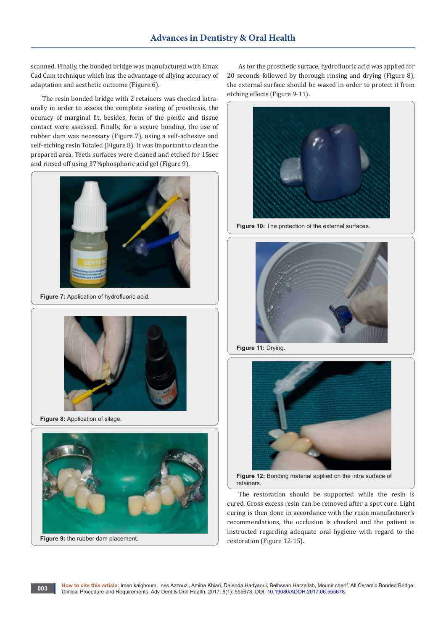scanned. Finally, the bonded bridge was manufactured with Emax Cad Cam technique which has the advantage of allying accuracy of adaptation and aesthetic outcome (Figure 6).

The resin bonded bridge with 2 retainers was checked intraorally in order to assess the complete seating of prosthesis, the ocuracy of marginal fit, besides, form of the pontic and tissue contact were assessed. Finally, for a secure bonding, the use of rubber dam was necessary (Figure 7), using a self-adhesive and self-etching resin Totaled (Figure 8). It was important to clean the prepared area. Teeth surfaces were cleaned and etched for 15sec and rinsed off using 37%phosphoric acid gel (Figure 9).



**Figure 7:** Application of hydrofluoric acid.



**Figure 8: Application of silage.** 

**003**



As for the prosthetic surface, hydrofluoric acid was applied for 20 seconds followed by thorough rinsing and drying (Figure 8), the external surface should be waxed in order to protect it from etching effects (Figure 9-11).



Figure 10: The protection of the external surfaces.



**Figure 11:** Drying.



**Figure 12:** Bonding material applied on the intra surface of retainers.

The restoration should be supported while the resin is cured. Gross excess resin can be removed after a spot cure. Light curing is then done in accordance with the resin manufacturer's recommendations, the occlusion is checked and the patient is instructed regarding adequate oral hygiene with regard to the restoration (Figure 12-15).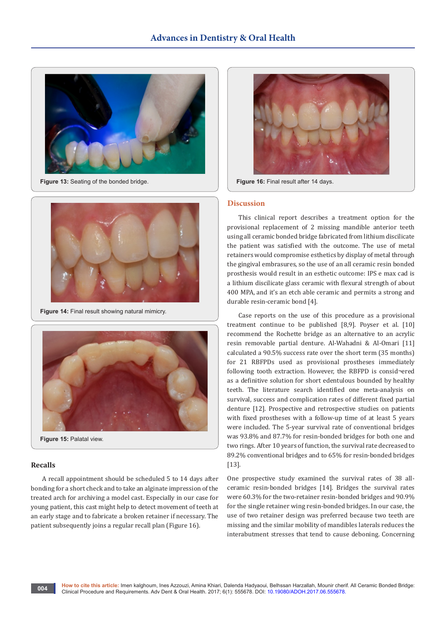

Figure 13: Seating of the bonded bridge.



**Figure 14: Final result showing natural mimicry.** 



### **Recalls**

A recall appointment should be scheduled 5 to 14 days after bonding for a short check and to take an alginate impression of the treated arch for archiving a model cast. Especially in our case for young patient, this cast might help to detect movement of teeth at an early stage and to fabricate a broken retainer if necessary. The patient subsequently joins a regular recall plan (Figure 16).



**Figure 16:** Final result after 14 days.

#### **Discussion**

This clinical report describes a treatment option for the provisional replacement of 2 missing mandible anterior teeth using all ceramic bonded bridge fabricated from lithium discilicate the patient was satisfied with the outcome. The use of metal retainers would compromise esthetics by display of metal through the gingival embrasures, so the use of an all ceramic resin bonded prosthesis would result in an esthetic outcome: IPS e max cad is a lithium discilicate glass ceramic with flexural strength of about 400 MPA, and it's an etch able ceramic and permits a strong and durable resin-ceramic bond [4].

Case reports on the use of this procedure as a provisional treatment continue to be published [8,9]. Poyser et al. [10] recommend the Rochette bridge as an alternative to an acrylic resin removable partial denture. Al-Wahadni & Al-Omari [11] calculated a 90.5% success rate over the short term (35 months) for 21 RBFPDs used as provisional prostheses immediately following tooth extraction. However, the RBFPD is consid¬ered as a definitive solution for short edentulous bounded by healthy teeth. The literature search identified one meta-analysis on survival, success and complication rates of different fixed partial denture [12]. Prospective and retrospective studies on patients with fixed prostheses with a follow-up time of at least 5 years were included. The 5-year survival rate of conventional bridges was 93.8% and 87.7% for resin-bonded bridges for both one and two rings. After 10 years of function, the survival rate decreased to 89.2% conventional bridges and to 65% for resin-bonded bridges [13].

One prospective study examined the survival rates of 38 allceramic resin-bonded bridges [14]. Bridges the survival rates were 60.3% for the two-retainer resin-bonded bridges and 90.9% for the single retainer wing resin-bonded bridges. In our case, the use of two retainer design was preferred because two teeth are missing and the similar mobility of mandibles laterals reduces the interabutment stresses that tend to cause deboning. Concerning